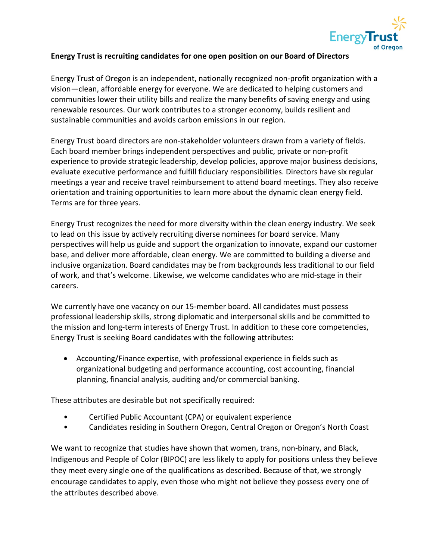

## **Energy Trust is recruiting candidates for one open position on our Board of Directors**

Energy Trust of Oregon is an independent, nationally recognized non-profit organization with a vision—clean, affordable energy for everyone. We are dedicated to helping customers and communities lower their utility bills and realize the many benefits of saving energy and using renewable resources. Our work contributes to a stronger economy, builds resilient and sustainable communities and avoids carbon emissions in our region.

Energy Trust board directors are non-stakeholder volunteers drawn from a variety of fields. Each board member brings independent perspectives and public, private or non-profit experience to provide strategic leadership, develop policies, approve major business decisions, evaluate executive performance and fulfill fiduciary responsibilities. Directors have six regular meetings a year and receive travel reimbursement to attend board meetings. They also receive orientation and training opportunities to learn more about the dynamic clean energy field. Terms are for three years.

Energy Trust recognizes the need for more diversity within the clean energy industry. We seek to lead on this issue by actively recruiting diverse nominees for board service. Many perspectives will help us guide and support the organization to innovate, expand our customer base, and deliver more affordable, clean energy. We are committed to building a diverse and inclusive organization. Board candidates may be from backgrounds less traditional to our field of work, and that's welcome. Likewise, we welcome candidates who are mid-stage in their careers.

We currently have one vacancy on our 15-member board. All candidates must possess professional leadership skills, strong diplomatic and interpersonal skills and be committed to the mission and long-term interests of Energy Trust. In addition to these core competencies, Energy Trust is seeking Board candidates with the following attributes:

• Accounting/Finance expertise, with professional experience in fields such as organizational budgeting and performance accounting, cost accounting, financial planning, financial analysis, auditing and/or commercial banking.

These attributes are desirable but not specifically required:

- Certified Public Accountant (CPA) or equivalent experience
- Candidates residing in Southern Oregon, Central Oregon or Oregon's North Coast

We want to recognize that studies have shown that women, trans, non-binary, and Black, Indigenous and People of Color (BIPOC) are less likely to apply for positions unless they believe they meet every single one of the qualifications as described. Because of that, we strongly encourage candidates to apply, even those who might not believe they possess every one of the attributes described above.